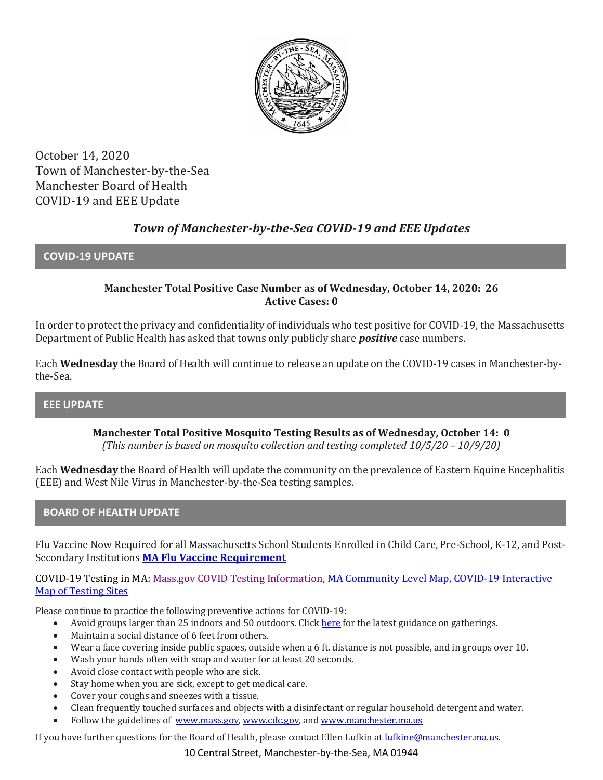

October 14, 2020 Town of Manchester-by-the-Sea Manchester Board of Health COVID-19 and EEE Update

# *Town of Manchester-by-the-Sea COVID-19 and EEE Updates*

#### **COVID-19 UPDATE**

#### **Manchester Total Positive Case Number as of Wednesday, October 14, 2020: 26 Active Cases: 0**

In order to protect the privacy and confidentiality of individuals who test positive for COVID-19, the Massachusetts Department of Public Health has asked that towns only publicly share *positive* case numbers.

Each **Wednesday** the Board of Health will continue to release an update on the COVID-19 cases in Manchester-bythe-Sea.

#### **EEE UPDATE**

**Manchester Total Positive Mosquito Testing Results as of Wednesday, October 14: 0** *(This number is based on mosquito collection and testing completed 10/5/20 – 10/9/20)*

Each **Wednesday** the Board of Health will update the community on the prevalence of Eastern Equine Encephalitis (EEE) and West Nile Virus in Manchester-by-the-Sea testing samples.

#### **BOARD OF HEALTH UPDATE**

Flu Vaccine Now Required for all Massachusetts School Students Enrolled in Child Care, Pre-School, K-12, and Post-Secondary Institutions **[MA Flu Vaccine Requirement](https://www.mass.gov/news/flu-vaccine-now-required-for-all-massachusetts-school-students-enrolled-in-child-care-pre)**

COVID-19 Testing in MA: [Mass.gov COVID Testing Information,](https://www.mass.gov/covid-19-testing) [MA Community Level Map,](https://www.mass.gov/info-details/community-level-covid-19-data-reporting) [COVID-19 Interactive](https://memamaps.maps.arcgis.com/apps/webappviewer/index.html?id=eba3f0395451430b9f631cb095febf13)  [Map of Testing Sites](https://memamaps.maps.arcgis.com/apps/webappviewer/index.html?id=eba3f0395451430b9f631cb095febf13)

Please continue to practice the following preventive actions for COVID-19:

- Avoid groups larger than 25 indoors and 50 outdoors. Clic[k here](https://www.mass.gov/info-details/safety-standards-and-checklist-indoor-and-outdoor-events) for the latest guidance on gatherings.
- Maintain a social distance of 6 feet from others.
- Wear a face covering inside public spaces, outside when a 6 ft. distance is not possible, and in groups over 10.
- Wash your hands often with soap and water for at least 20 seconds.
- Avoid close contact with people who are sick.
- Stay home when you are sick, except to get medical care.
- Cover your coughs and sneezes with a tissue.
- Clean frequently touched surfaces and objects with a disinfectant or regular household detergent and water.
- Follow the guidelines of [www.mass.gov,](https://www.mass.gov/) [www.cdc.gov,](https://www.cdc.gov/) an[d www.manchester.ma.us](http://www.manchester.ma.us/)

If you have further questions for the Board of Health, please contact Ellen Lufkin a[t lufkine@manchester.ma.us.](mailto:lufkine@manchester.ma.us)

10 Central Street, Manchester-by-the-Sea, MA 01944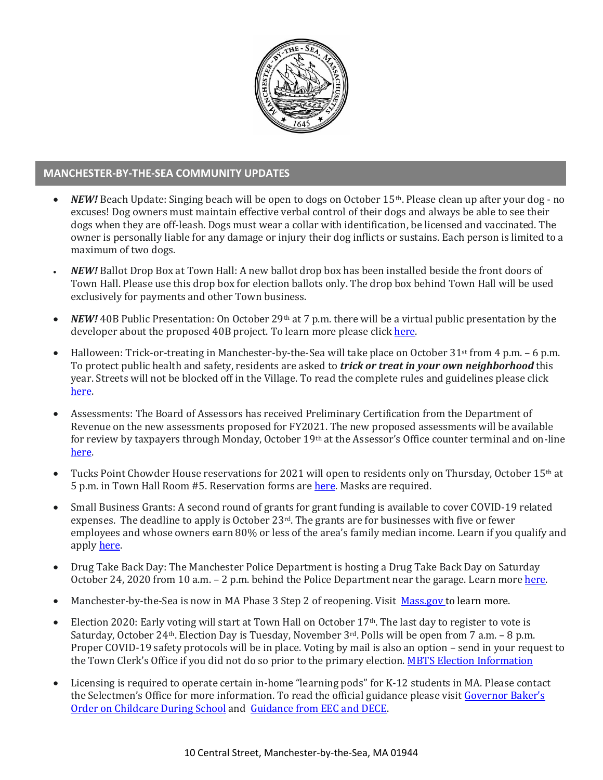

### **MANCHESTER-BY-THE-SEA COMMUNITY UPDATES**

- *NEW!* Beach Update: Singing beach will be open to dogs on October 15th. Please clean up after your dog no excuses! Dog owners must maintain effective verbal control of their dogs and always be able to see their dogs when they are off-leash. Dogs must wear a collar with identification, be licensed and vaccinated. The owner is personally liable for any damage or injury their dog inflicts or sustains. Each person is limited to a maximum of two dogs.
- *NEW!* Ballot Drop Box at Town Hall: A new ballot drop box has been installed beside the front doors of Town Hall. Please use this drop box for election ballots only. The drop box behind Town Hall will be used exclusively for payments and other Town business.
- *NEW!* 40B Public Presentation: On October 29th at 7 p.m. there will be a virtual public presentation by the developer about the proposed 40B project. To learn more please clic[k here.](http://manchester.ma.us/729/40B)
- Halloween: Trick-or-treating in Manchester-by-the-Sea will take place on October 31st from 4 p.m. 6 p.m. To protect public health and safety, residents are asked to *trick or treat in your own neighborhood* this year. Streets will not be blocked off in the Village. To read the complete rules and guidelines please click [here.](http://manchester.ma.us/CivicAlerts.aspx?AID=248)
- Assessments: The Board of Assessors has received Preliminary Certification from the Department of Revenue on the new assessments proposed for FY2021. The new proposed assessments will be available for review by taxpayers through Monday, October 19<sup>th</sup> at the Assessor's Office counter terminal and on-line [here.](http://manchester.ma.us/165/Assessor)
- Tucks Point Chowder House reservations for 2021 will open to residents only on Thursday, October 15th at 5 p.m. in Town Hall Room #5. Reservation forms ar[e here.](http://ma-manchesterbythesea.civicplus.com/DocumentCenter/View/3402/2021-Chowder-House-Application?bidId=) Masks are required.
- Small Business Grants: A second round of grants for grant funding is available to cover COVID-19 related expenses. The deadline to apply is October 23rd. The grants are for businesses with five or fewer employees and whose owners earn 80% or less of the area's family median income. Learn if you qualify and appl[y here.](https://massgcc.submittable.com/submit/175985/community-development-block-grant-covid-19-cdbg-cv-microenterprise-assistance-p)
- Drug Take Back Day: The Manchester Police Department is hosting a Drug Take Back Day on Saturday October 24, 2020 from 10 a.m. – 2 p.m. behind the Police Department near the garage. Learn more [here.](http://manchester.ma.us/DocumentCenter/View/3466/Drug-Take-Back-Day-1024)
- Manchester-by-the-Sea is now in MA Phase 3 Step 2 of reopening. Visit [Mass.gov](https://www.mass.gov/news/baker-polito-administration-announces-transition-to-step-ii-of-phase-iii-for-lower-risk) to learn more.
- Election 2020: Early voting will start at Town Hall on October 17<sup>th</sup>. The last day to register to vote is Saturday, October 24th. Election Day is Tuesday, November 3rd. Polls will be open from 7 a.m. – 8 p.m. Proper COVID-19 safety protocols will be in place. Voting by mail is also an option – send in your request to the Town Clerk's Office if you did not do so prior to the primary election[. MBTS Election Information](http://manchester.ma.us/503/Town-Meetings-and-Elections)
- Licensing is required to operate certain in-home "learning pods" for K-12 students in MA. Please contact the Selectmen's Office for more information. To read the official guidance please visit [Governor Baker's](https://www.mass.gov/doc/august-28-2020-supporting-parents-with-children-in-remote-learning/download)  [Order on Childcare During School](https://www.mass.gov/doc/august-28-2020-supporting-parents-with-children-in-remote-learning/download) and [Guidance from EEC and DECE.](https://eeclead.force.com/resource/1598716186000/CareOptions)